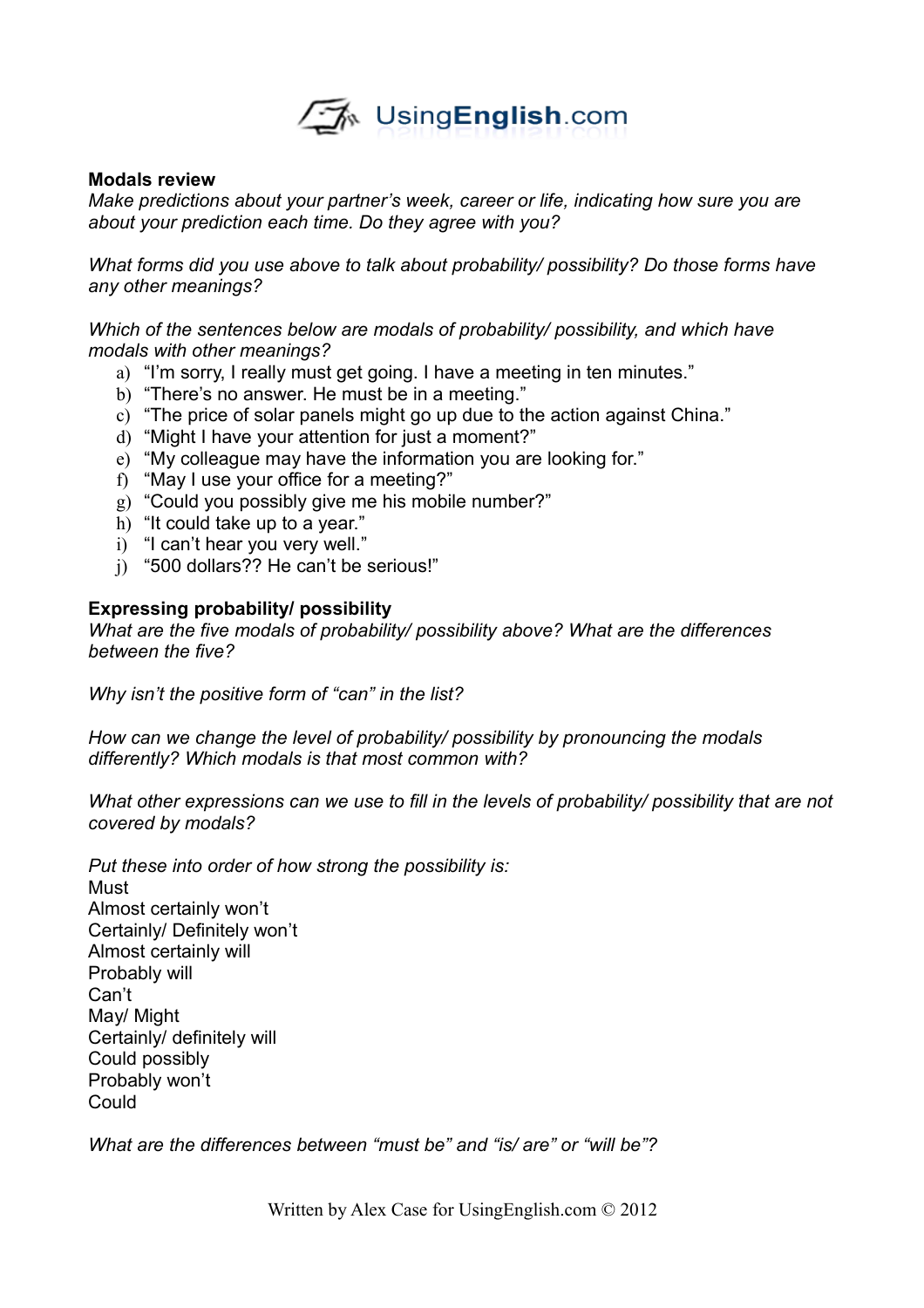

## **Modals review**

*Make predictions about your partner's week, career or life, indicating how sure you are about your prediction each time. Do they agree with you?*

*What forms did you use above to talk about probability/ possibility? Do those forms have any other meanings?*

*Which of the sentences below are modals of probability/ possibility, and which have modals with other meanings?*

- a) "I'm sorry, I really must get going. I have a meeting in ten minutes."
- b) "There's no answer. He must be in a meeting."
- c) "The price of solar panels might go up due to the action against China."
- d) "Might I have your attention for just a moment?"
- e) "My colleague may have the information you are looking for."
- f) "May I use your office for a meeting?"
- g) "Could you possibly give me his mobile number?"
- h) "It could take up to a year."
- i) "I can't hear you very well."
- j) "500 dollars?? He can't be serious!"

# **Expressing probability/ possibility**

*What are the five modals of probability/ possibility above? What are the differences between the five?*

*Why isn't the positive form of "can" in the list?*

*How can we change the level of probability/ possibility by pronouncing the modals differently? Which modals is that most common with?*

*What other expressions can we use to fill in the levels of probability/ possibility that are not covered by modals?*

*Put these into order of how strong the possibility is:* Must Almost certainly won't Certainly/ Definitely won't Almost certainly will Probably will Can't May/ Might Certainly/ definitely will Could possibly Probably won't Could

*What are the differences between "must be" and "is/ are" or "will be"?*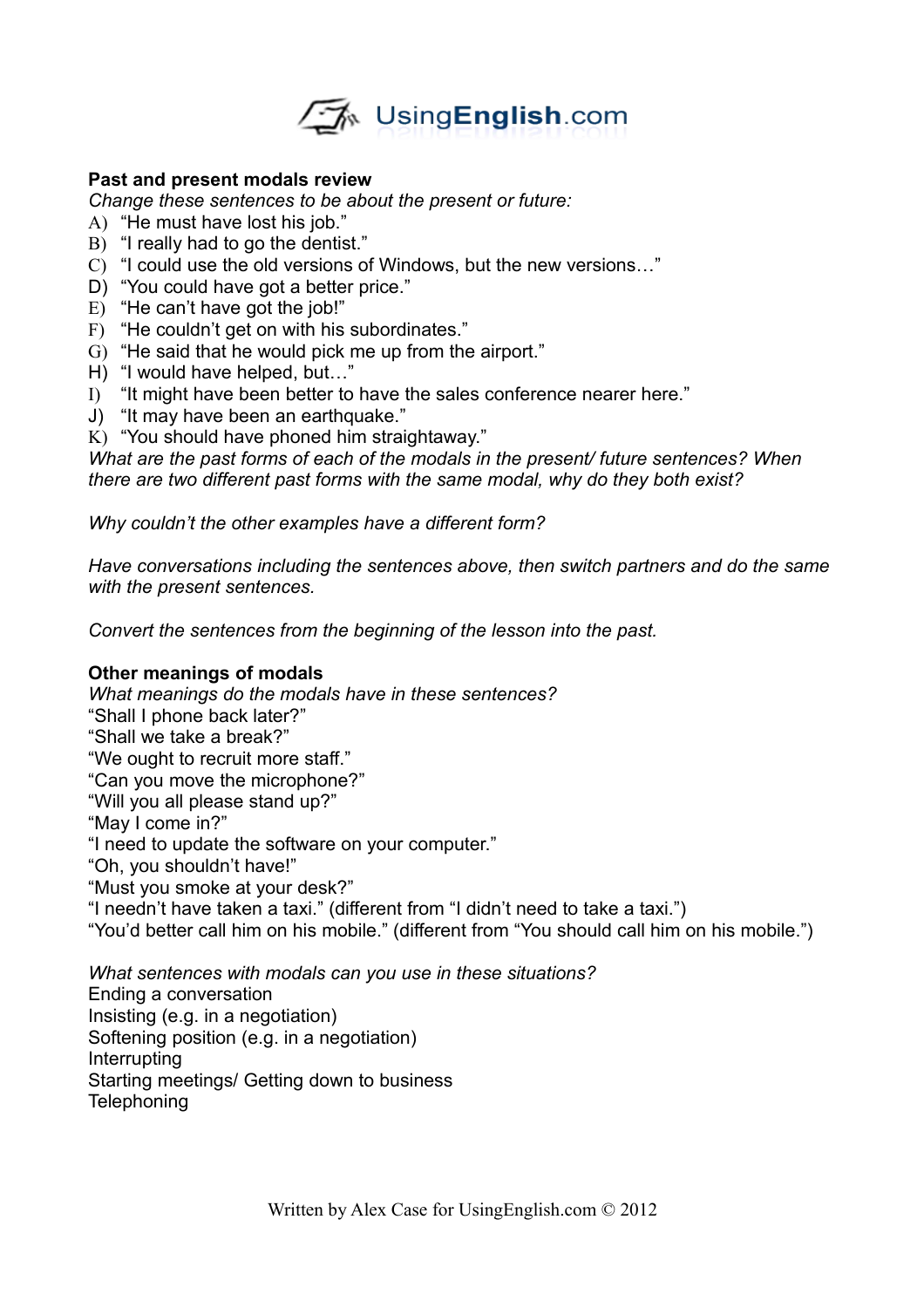

# **Past and present modals review**

*Change these sentences to be about the present or future:*

- A) "He must have lost his job."
- B) "I really had to go the dentist."
- C) "I could use the old versions of Windows, but the new versions…"
- D) "You could have got a better price."
- E) "He can't have got the job!"
- F) "He couldn't get on with his subordinates."
- G) "He said that he would pick me up from the airport."
- H) "I would have helped, but…"
- I) "It might have been better to have the sales conference nearer here."
- J) "It may have been an earthquake."
- K) "You should have phoned him straightaway."

*What are the past forms of each of the modals in the present/ future sentences? When there are two different past forms with the same modal, why do they both exist?*

*Why couldn't the other examples have a different form?*

*Have conversations including the sentences above, then switch partners and do the same with the present sentences.*

*Convert the sentences from the beginning of the lesson into the past.*

#### **Other meanings of modals**

*What meanings do the modals have in these sentences?* "Shall I phone back later?" "Shall we take a break?" "We ought to recruit more staff." "Can you move the microphone?" "Will you all please stand up?" "May I come in?" "I need to update the software on your computer." "Oh, you shouldn't have!" "Must you smoke at your desk?" "I needn't have taken a taxi." (different from "I didn't need to take a taxi.") "You'd better call him on his mobile." (different from "You should call him on his mobile.")

*What sentences with modals can you use in these situations?* Ending a conversation Insisting (e.g. in a negotiation) Softening position (e.g. in a negotiation) Interrupting Starting meetings/ Getting down to business **Telephoning**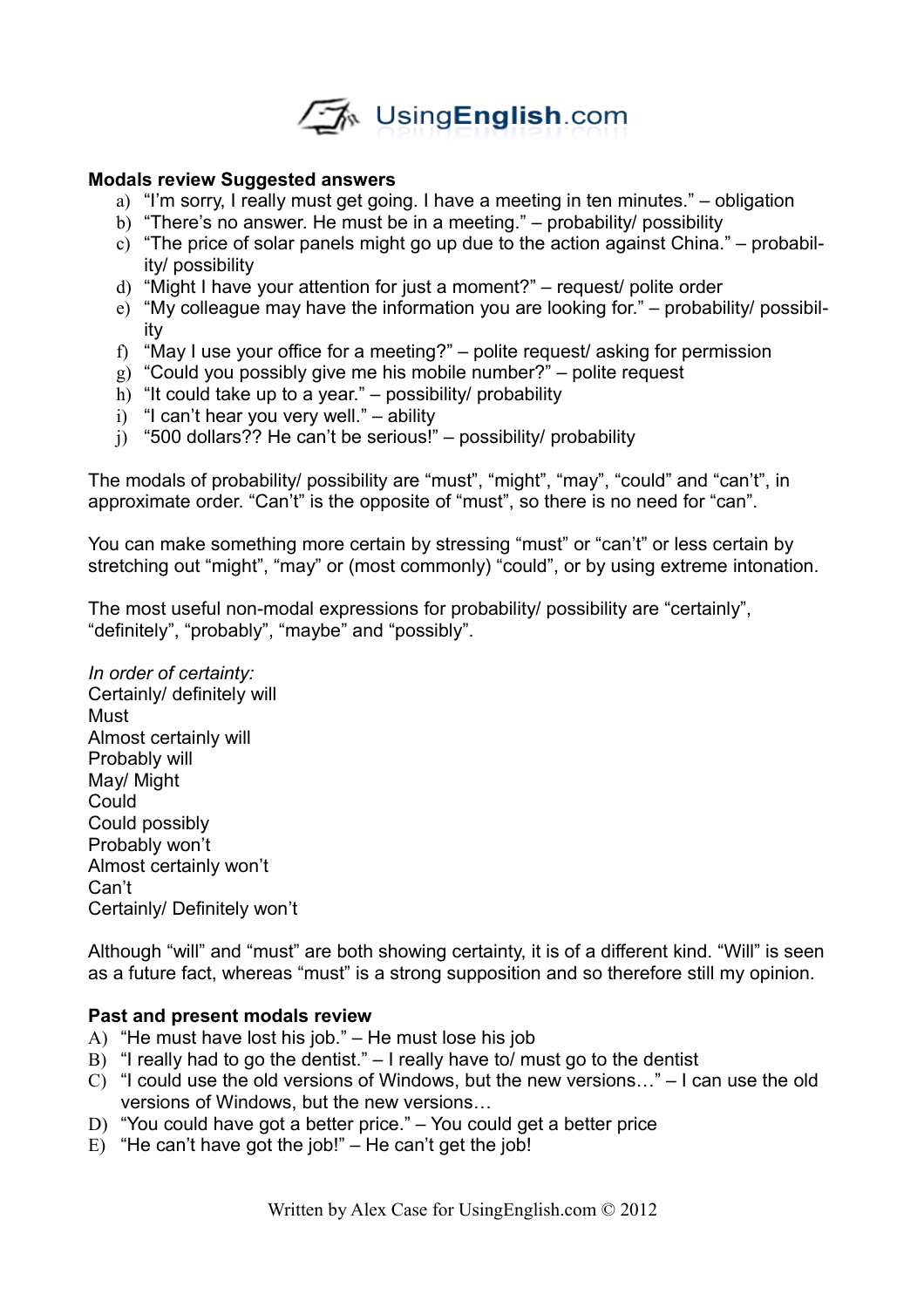

## **Modals review Suggested answers**

- a) "I'm sorry, I really must get going. I have a meeting in ten minutes." obligation
- b) "There's no answer. He must be in a meeting." probability/ possibility
- c) "The price of solar panels might go up due to the action against China." probability/ possibility
- d) "Might I have your attention for just a moment?" request/ polite order
- e) "My colleague may have the information you are looking for." probability/ possibility
- f) "May I use your office for a meeting?" polite request/ asking for permission
- g) "Could you possibly give me his mobile number?" polite request
- h) "It could take up to a year." possibility/ probability
- i) "I can't hear you very well." ability
- j) "500 dollars?? He can't be serious!" possibility/ probability

The modals of probability/ possibility are "must", "might", "may", "could" and "can't", in approximate order. "Can't" is the opposite of "must", so there is no need for "can".

You can make something more certain by stressing "must" or "can't" or less certain by stretching out "might", "may" or (most commonly) "could", or by using extreme intonation.

The most useful non-modal expressions for probability/ possibility are "certainly", "definitely", "probably", "maybe" and "possibly".

*In order of certainty:* Certainly/ definitely will Must Almost certainly will Probably will May/ Might Could Could possibly Probably won't Almost certainly won't Can't Certainly/ Definitely won't

Although "will" and "must" are both showing certainty, it is of a different kind. "Will" is seen as a future fact, whereas "must" is a strong supposition and so therefore still my opinion.

#### **Past and present modals review**

- A) "He must have lost his job." He must lose his job
- B) "I really had to go the dentist." I really have to/ must go to the dentist
- C) "I could use the old versions of Windows, but the new versions…" I can use the old versions of Windows, but the new versions…
- D) "You could have got a better price." You could get a better price
- E) "He can't have got the job!"  $-$  He can't get the job!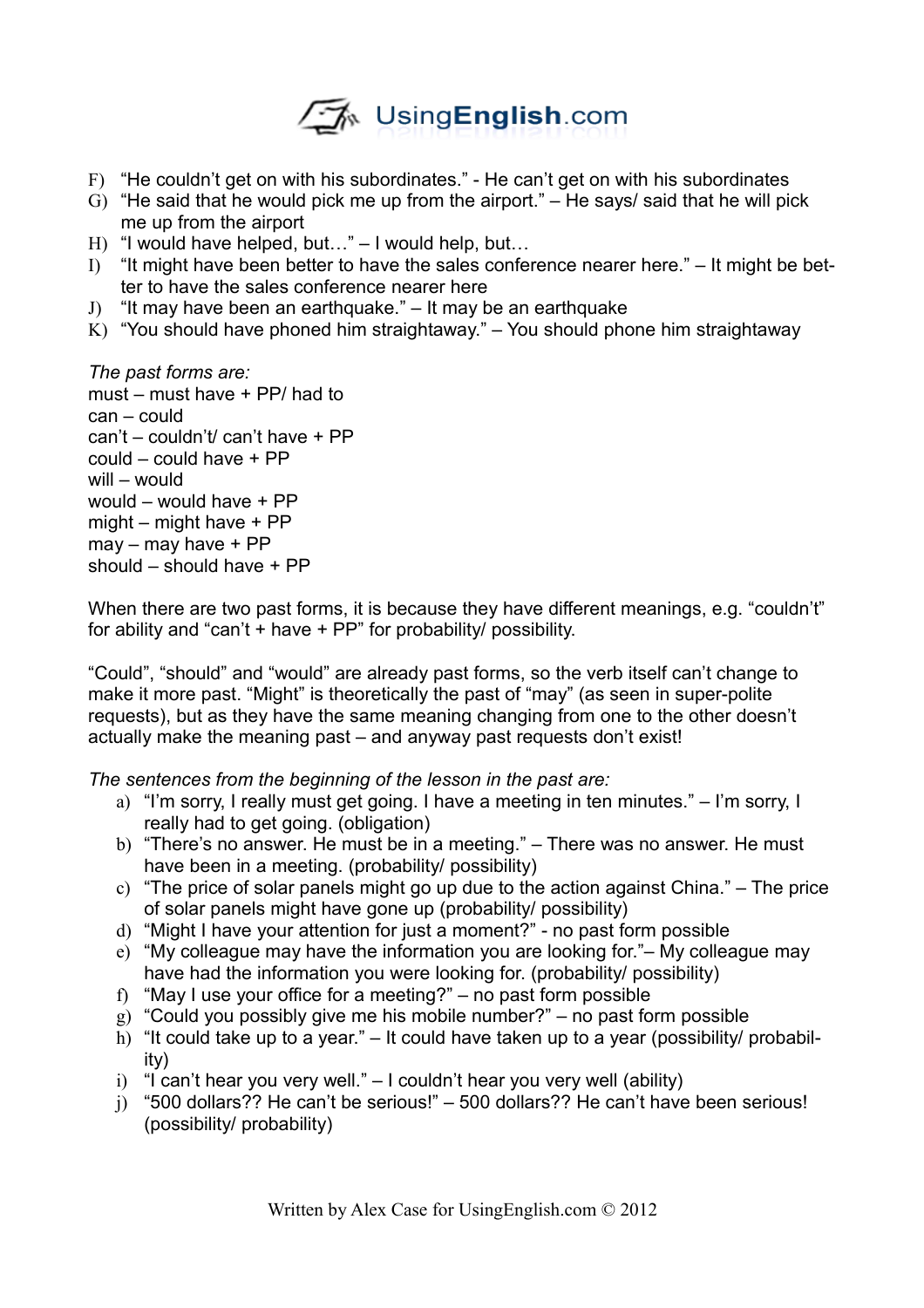

- F) "He couldn't get on with his subordinates." He can't get on with his subordinates
- G) "He said that he would pick me up from the airport." He says/ said that he will pick me up from the airport
- H) "I would have helped, but…" I would help, but…
- I) "It might have been better to have the sales conference nearer here."  $-$  It might be better to have the sales conference nearer here
- J) "It may have been an earthquake." It may be an earthquake
- K) "You should have phoned him straightaway."  $-$  You should phone him straightaway

*The past forms are:* must – must have + PP/ had to can – could can't – couldn't/ can't have + PP could – could have + PP will – would would – would have + PP might – might have + PP may – may have + PP should – should have + PP

When there are two past forms, it is because they have different meanings, e.g. "couldn't" for ability and "can't + have + PP" for probability/ possibility.

"Could", "should" and "would" are already past forms, so the verb itself can't change to make it more past. "Might" is theoretically the past of "may" (as seen in super-polite requests), but as they have the same meaning changing from one to the other doesn't actually make the meaning past – and anyway past requests don't exist!

*The sentences from the beginning of the lesson in the past are:*

- a) "I'm sorry, I really must get going. I have a meeting in ten minutes." I'm sorry, I really had to get going. (obligation)
- b) "There's no answer. He must be in a meeting." There was no answer. He must have been in a meeting. (probability/ possibility)
- c) "The price of solar panels might go up due to the action against China." The price of solar panels might have gone up (probability/ possibility)
- d) "Might I have your attention for just a moment?" no past form possible
- e) "My colleague may have the information you are looking for."– My colleague may have had the information you were looking for. (probability/ possibility)
- f) "May I use your office for a meeting?" no past form possible
- g) "Could you possibly give me his mobile number?" no past form possible
- h) "It could take up to a year." It could have taken up to a year (possibility/ probability)
- i) "I can't hear you very well."  $-1$  couldn't hear you very well (ability)
- j) "500 dollars?? He can't be serious!" 500 dollars?? He can't have been serious! (possibility/ probability)